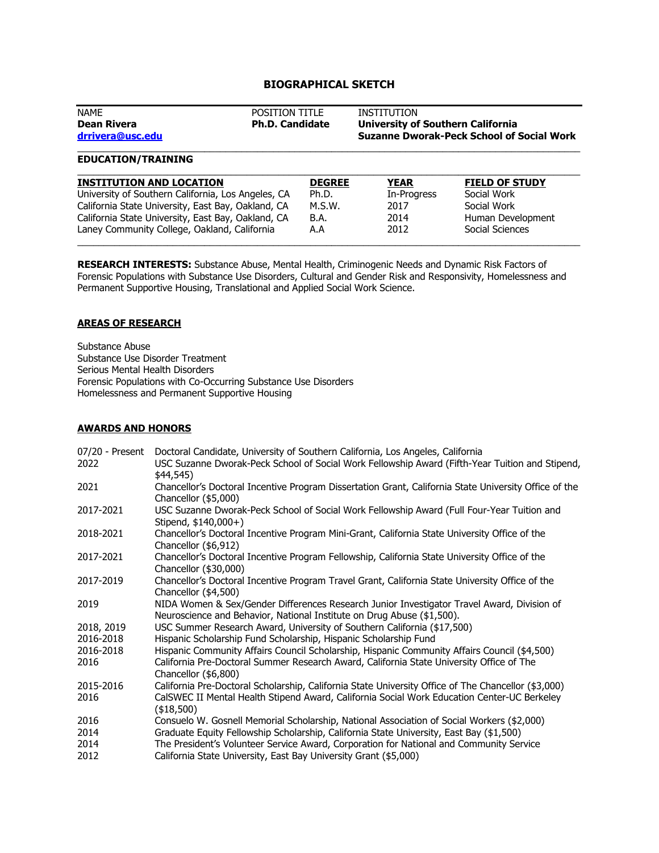# **BIOGRAPHICAL SKETCH**

| <b>NAME</b><br>Dean Rivera<br>drrivera@usc.edu | <b>POSITION TITLE</b><br><b>Ph.D. Candidate</b> | INSTITUTION<br><b>University of Southern California</b><br><b>Suzanne Dworak-Peck School of Social Work</b> |
|------------------------------------------------|-------------------------------------------------|-------------------------------------------------------------------------------------------------------------|
|                                                |                                                 |                                                                                                             |

### **EDUCATION/TRAINING**

| <b>INSTITUTION AND LOCATION</b>                    | <b>DEGREE</b> | YEAR        | <b>FIELD OF STUDY</b> |
|----------------------------------------------------|---------------|-------------|-----------------------|
| University of Southern California, Los Angeles, CA | Ph.D.         | In-Progress | Social Work           |
| California State University, East Bay, Oakland, CA | M.S.W.        | 2017        | Social Work           |
| California State University, East Bay, Oakland, CA | B.A.          | 2014        | Human Development     |
| Laney Community College, Oakland, California       | A.A           | 2012        | Social Sciences       |

**RESEARCH INTERESTS:** Substance Abuse, Mental Health, Criminogenic Needs and Dynamic Risk Factors of Forensic Populations with Substance Use Disorders, Cultural and Gender Risk and Responsivity, Homelessness and Permanent Supportive Housing, Translational and Applied Social Work Science.

# **AREAS OF RESEARCH**

Substance Abuse Substance Use Disorder Treatment Serious Mental Health Disorders Forensic Populations with Co-Occurring Substance Use Disorders Homelessness and Permanent Supportive Housing

## **AWARDS AND HONORS**

| 07/20 - Present | Doctoral Candidate, University of Southern California, Los Angeles, California                                                                                       |
|-----------------|----------------------------------------------------------------------------------------------------------------------------------------------------------------------|
| 2022            | USC Suzanne Dworak-Peck School of Social Work Fellowship Award (Fifth-Year Tuition and Stipend,<br>\$44,545)                                                         |
| 2021            | Chancellor's Doctoral Incentive Program Dissertation Grant, California State University Office of the<br>Chancellor (\$5,000)                                        |
| 2017-2021       | USC Suzanne Dworak-Peck School of Social Work Fellowship Award (Full Four-Year Tuition and<br>Stipend, $$140,000+$                                                   |
| 2018-2021       | Chancellor's Doctoral Incentive Program Mini-Grant, California State University Office of the<br>Chancellor (\$6,912)                                                |
| 2017-2021       | Chancellor's Doctoral Incentive Program Fellowship, California State University Office of the<br>Chancellor (\$30,000)                                               |
| 2017-2019       | Chancellor's Doctoral Incentive Program Travel Grant, California State University Office of the<br>Chancellor (\$4,500)                                              |
| 2019            | NIDA Women & Sex/Gender Differences Research Junior Investigator Travel Award, Division of<br>Neuroscience and Behavior, National Institute on Drug Abuse (\$1,500). |
| 2018, 2019      | USC Summer Research Award, University of Southern California (\$17,500)                                                                                              |
| 2016-2018       | Hispanic Scholarship Fund Scholarship, Hispanic Scholarship Fund                                                                                                     |
| 2016-2018       | Hispanic Community Affairs Council Scholarship, Hispanic Community Affairs Council (\$4,500)                                                                         |
| 2016            | California Pre-Doctoral Summer Research Award, California State University Office of The<br>Chancellor (\$6,800)                                                     |
| 2015-2016       | California Pre-Doctoral Scholarship, California State University Office of The Chancellor (\$3,000)                                                                  |
| 2016            | CalSWEC II Mental Health Stipend Award, California Social Work Education Center-UC Berkeley<br>(\$18,500)                                                            |
| 2016            | Consuelo W. Gosnell Memorial Scholarship, National Association of Social Workers (\$2,000)                                                                           |
| 2014            | Graduate Equity Fellowship Scholarship, California State University, East Bay (\$1,500)                                                                              |
| 2014            | The President's Volunteer Service Award, Corporation for National and Community Service                                                                              |
| 2012            | California State University, East Bay University Grant (\$5,000)                                                                                                     |
|                 |                                                                                                                                                                      |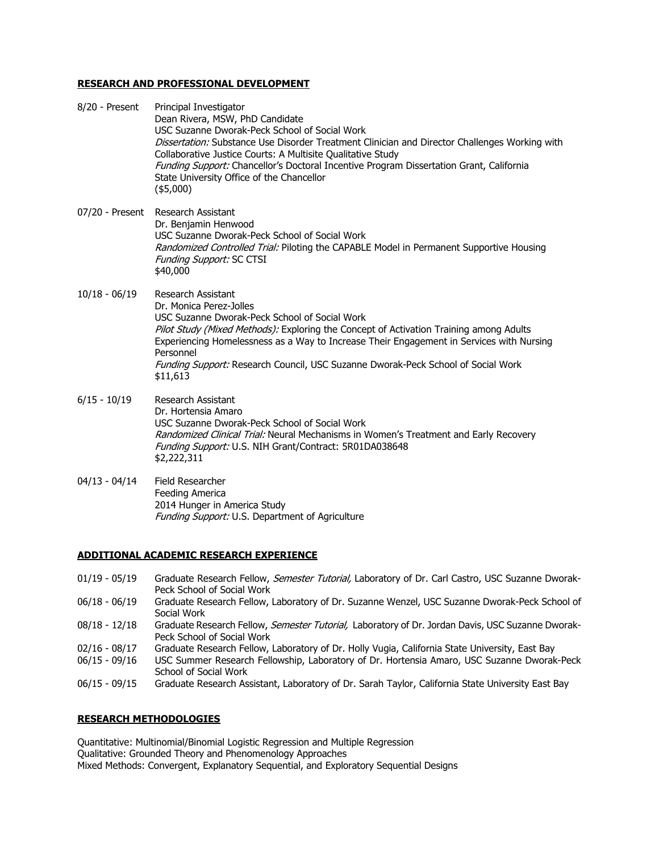#### **RESEARCH AND PROFESSIONAL DEVELOPMENT**

| 8/20 - Present  | Principal Investigator<br>Dean Rivera, MSW, PhD Candidate<br>USC Suzanne Dworak-Peck School of Social Work<br>Dissertation: Substance Use Disorder Treatment Clinician and Director Challenges Working with<br>Collaborative Justice Courts: A Multisite Qualitative Study<br>Funding Support: Chancellor's Doctoral Incentive Program Dissertation Grant, California<br>State University Office of the Chancellor<br>$(*5,000)$ |
|-----------------|----------------------------------------------------------------------------------------------------------------------------------------------------------------------------------------------------------------------------------------------------------------------------------------------------------------------------------------------------------------------------------------------------------------------------------|
|                 | 07/20 - Present Research Assistant<br>Dr. Benjamin Henwood<br>USC Suzanne Dworak-Peck School of Social Work<br>Randomized Controlled Trial: Piloting the CAPABLE Model in Permanent Supportive Housing<br><b>Funding Support: SC CTSI</b><br>\$40,000                                                                                                                                                                            |
| $10/18 - 06/19$ | Research Assistant<br>Dr. Monica Perez-Jolles<br>USC Suzanne Dworak-Peck School of Social Work<br>Pilot Study (Mixed Methods): Exploring the Concept of Activation Training among Adults<br>Experiencing Homelessness as a Way to Increase Their Engagement in Services with Nursing<br>Personnel<br>Funding Support: Research Council, USC Suzanne Dworak-Peck School of Social Work<br>\$11,613                                |
| $6/15 - 10/19$  | Research Assistant<br>Dr. Hortensia Amaro<br>USC Suzanne Dworak-Peck School of Social Work<br>Randomized Clinical Trial: Neural Mechanisms in Women's Treatment and Early Recovery<br><i>Funding Support:</i> U.S. NIH Grant/Contract: 5R01DA038648<br>\$2,222,311                                                                                                                                                               |
| $04/13 - 04/14$ | Field Researcher<br>Feeding America<br>2014 Hunger in America Study                                                                                                                                                                                                                                                                                                                                                              |

# **ADDITIONAL ACADEMIC RESEARCH EXPERIENCE**

- 01/19 05/19 Graduate Research Fellow, Semester Tutorial, Laboratory of Dr. Carl Castro, USC Suzanne Dworak-Peck School of Social Work
- 06/18 06/19 Graduate Research Fellow, Laboratory of Dr. Suzanne Wenzel, USC Suzanne Dworak-Peck School of Social Work
- 08/18 12/18 Graduate Research Fellow, Semester Tutorial, Laboratory of Dr. Jordan Davis, USC Suzanne Dworak-Peck School of Social Work
- 02/16 08/17 Graduate Research Fellow, Laboratory of Dr. Holly Vugia, California State University, East Bay<br>06/15 09/16 USC Summer Research Fellowship, Laboratory of Dr. Hortensia Amaro, USC Suzanne Dworak
- USC Summer Research Fellowship, Laboratory of Dr. Hortensia Amaro, USC Suzanne Dworak-Peck School of Social Work
- 06/15 09/15 Graduate Research Assistant, Laboratory of Dr. Sarah Taylor, California State University East Bay

## **RESEARCH METHODOLOGIES**

Quantitative: Multinomial/Binomial Logistic Regression and Multiple Regression Qualitative: Grounded Theory and Phenomenology Approaches Mixed Methods: Convergent, Explanatory Sequential, and Exploratory Sequential Designs

Funding Support: U.S. Department of Agriculture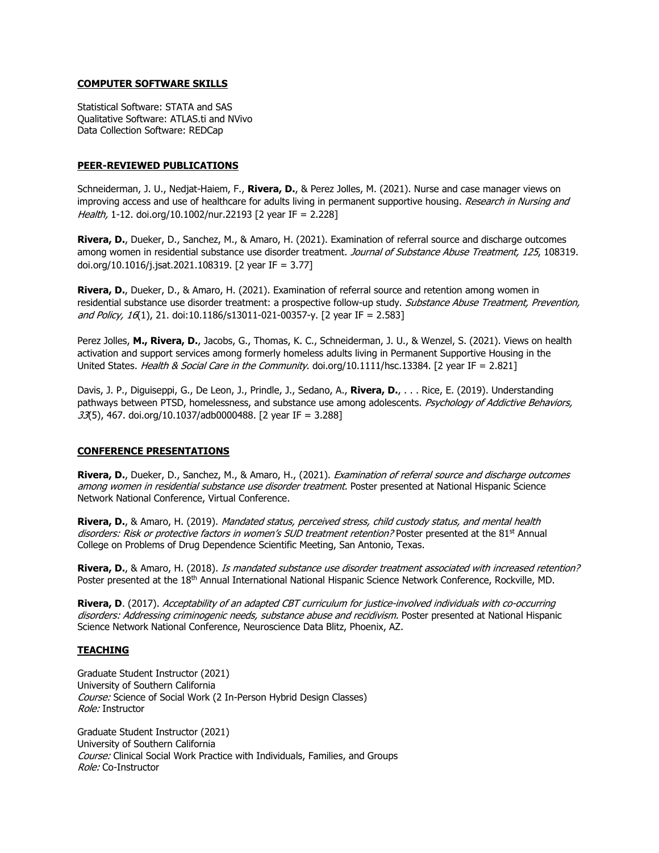#### **COMPUTER SOFTWARE SKILLS**

Statistical Software: STATA and SAS Qualitative Software: ATLAS.ti and NVivo Data Collection Software: REDCap

#### **PEER-REVIEWED PUBLICATIONS**

Schneiderman, J. U., Nedjat-Haiem, F., **Rivera, D.**, & Perez Jolles, M. (2021). Nurse and case manager views on improving access and use of healthcare for adults living in permanent supportive housing. Research in Nursing and Health, 1-12. doi.org/10.1002/nur.22193 [2 year IF = 2.228]

**Rivera, D.**, Dueker, D., Sanchez, M., & Amaro, H. (2021). Examination of referral source and discharge outcomes among women in residential substance use disorder treatment. Journal of Substance Abuse Treatment, 125, 108319. doi.org/10.1016/j.jsat.2021.108319. [2 year IF = 3.77]

**Rivera, D.**, Dueker, D., & Amaro, H. (2021). Examination of referral source and retention among women in residential substance use disorder treatment: a prospective follow-up study. Substance Abuse Treatment, Prevention, and Policy,  $16(1)$ , 21. doi:10.1186/s13011-021-00357-y. [2 year IF = 2.583]

Perez Jolles, **M., Rivera, D.**, Jacobs, G., Thomas, K. C., Schneiderman, J. U., & Wenzel, S. (2021). Views on health activation and support services among formerly homeless adults living in Permanent Supportive Housing in the United States. Health & Social Care in the Community. doi.org/10.1111/hsc.13384. [2 year IF = 2.821]

Davis, J. P., Diguiseppi, G., De Leon, J., Prindle, J., Sedano, A., **Rivera, D.**, . . . Rice, E. (2019). Understanding pathways between PTSD, homelessness, and substance use among adolescents. Psychology of Addictive Behaviors,  $33(5)$ , 467. doi.org/10.1037/adb0000488. [2 year IF = 3.288]

#### **CONFERENCE PRESENTATIONS**

**Rivera, D.**, Dueker, D., Sanchez, M., & Amaro, H., (2021). Examination of referral source and discharge outcomes among women in residential substance use disorder treatment. Poster presented at National Hispanic Science Network National Conference, Virtual Conference.

**Rivera, D.**, & Amaro, H. (2019). Mandated status, perceived stress, child custody status, and mental health disorders: Risk or protective factors in women's SUD treatment retention? Poster presented at the 81<sup>st</sup> Annual College on Problems of Drug Dependence Scientific Meeting, San Antonio, Texas.

**Rivera, D.**, & Amaro, H. (2018). Is mandated substance use disorder treatment associated with increased retention? Poster presented at the 18th Annual International National Hispanic Science Network Conference, Rockville, MD.

**Rivera, D**. (2017). Acceptability of an adapted CBT curriculum for justice-involved individuals with co-occurring disorders: Addressing criminogenic needs, substance abuse and recidivism. Poster presented at National Hispanic Science Network National Conference, Neuroscience Data Blitz, Phoenix, AZ.

#### **TEACHING**

Graduate Student Instructor (2021) University of Southern California Course: Science of Social Work (2 In-Person Hybrid Design Classes) Role: Instructor

Graduate Student Instructor (2021) University of Southern California Course: Clinical Social Work Practice with Individuals, Families, and Groups Role: Co-Instructor